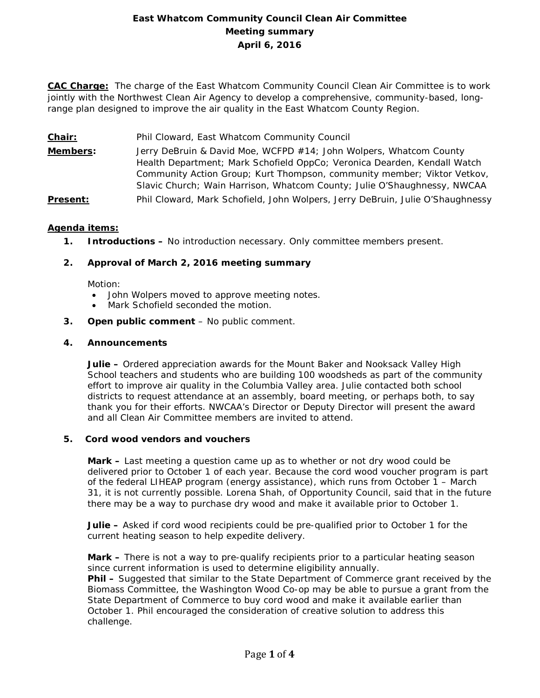# **East Whatcom Community Council Clean Air Committee Meeting summary April 6, 2016**

**CAC Charge:** The charge of the East Whatcom Community Council Clean Air Committee is to work jointly with the Northwest Clean Air Agency to develop a comprehensive, community-based, longrange plan designed to improve the air quality in the East Whatcom County Region.

- **Chair:** Phil Cloward, East Whatcom Community Council
- **Members:** Jerry DeBruin & David Moe, WCFPD #14; John Wolpers, Whatcom County Health Department; Mark Schofield OppCo; Veronica Dearden, Kendall Watch Community Action Group; Kurt Thompson, community member; Viktor Vetkov, Slavic Church; Wain Harrison, Whatcom County; Julie O'Shaughnessy, NWCAA
- **Present:** Phil Cloward, Mark Schofield, John Wolpers, Jerry DeBruin, Julie O'Shaughnessy

### **Agenda items:**

**1. Introductions –** No introduction necessary. Only committee members present.

### **2. Approval of March 2, 2016 meeting summary**

Motion:

- John Wolpers moved to approve meeting notes.
- Mark Schofield seconded the motion.
- **3. Open public comment**  No public comment.

#### **4. Announcements**

**Julie –** Ordered appreciation awards for the Mount Baker and Nooksack Valley High School teachers and students who are building 100 woodsheds as part of the community effort to improve air quality in the Columbia Valley area. Julie contacted both school districts to request attendance at an assembly, board meeting, or perhaps both, to say thank you for their efforts. NWCAA's Director or Deputy Director will present the award and all Clean Air Committee members are invited to attend.

### **5. Cord wood vendors and vouchers**

**Mark –** Last meeting a question came up as to whether or not dry wood could be delivered prior to October 1 of each year. Because the cord wood voucher program is part of the federal LIHEAP program (energy assistance), which runs from October 1 – March 31, it is not currently possible. Lorena Shah, of Opportunity Council, said that in the future there may be a way to purchase dry wood and make it available prior to October 1.

**Julie –** Asked if cord wood recipients could be pre-qualified prior to October 1 for the current heating season to help expedite delivery.

**Mark –** There is not a way to pre-qualify recipients prior to a particular heating season since current information is used to determine eligibility annually.

**Phil –** Suggested that similar to the State Department of Commerce grant received by the Biomass Committee, the Washington Wood Co-op may be able to pursue a grant from the State Department of Commerce to buy cord wood and make it available earlier than October 1. Phil encouraged the consideration of creative solution to address this challenge.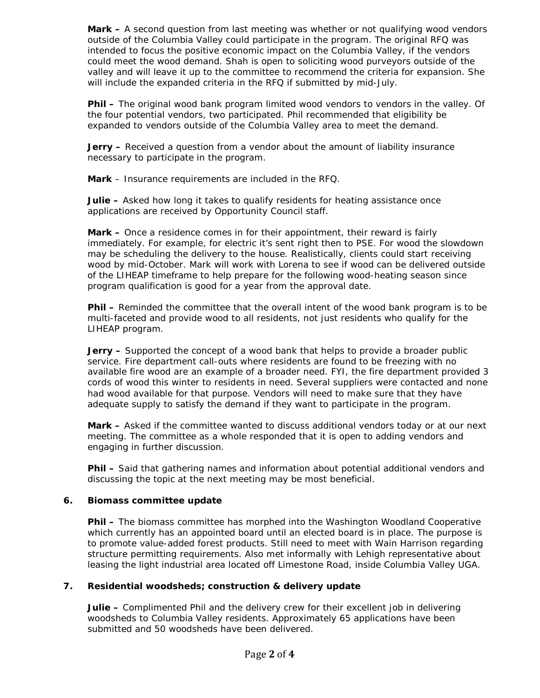**Mark –** A second question from last meeting was whether or not qualifying wood vendors outside of the Columbia Valley could participate in the program. The original RFQ was intended to focus the positive economic impact on the Columbia Valley, if the vendors could meet the wood demand. Shah is open to soliciting wood purveyors outside of the valley and will leave it up to the committee to recommend the criteria for expansion. She will include the expanded criteria in the RFQ if submitted by mid-July.

**Phil –** The original wood bank program limited wood vendors to vendors in the valley. Of the four potential vendors, two participated. Phil recommended that eligibility be expanded to vendors outside of the Columbia Valley area to meet the demand.

**Jerry –** Received a question from a vendor about the amount of liability insurance necessary to participate in the program.

**Mark** – Insurance requirements are included in the RFQ.

**Julie –** Asked how long it takes to qualify residents for heating assistance once applications are received by Opportunity Council staff.

**Mark –** Once a residence comes in for their appointment, their reward is fairly immediately. For example, for electric it's sent right then to PSE. For wood the slowdown may be scheduling the delivery to the house. Realistically, clients could start receiving wood by mid-October. Mark will work with Lorena to see if wood can be delivered outside of the LIHEAP timeframe to help prepare for the following wood-heating season since program qualification is good for a year from the approval date.

**Phil –** Reminded the committee that the overall intent of the wood bank program is to be multi-faceted and provide wood to all residents, not just residents who qualify for the LIHEAP program.

**Jerry –** Supported the concept of a wood bank that helps to provide a broader public service. Fire department call-outs where residents are found to be freezing with no available fire wood are an example of a broader need. FYI, the fire department provided 3 cords of wood this winter to residents in need. Several suppliers were contacted and none had wood available for that purpose. Vendors will need to make sure that they have adequate supply to satisfy the demand if they want to participate in the program.

**Mark –** Asked if the committee wanted to discuss additional vendors today or at our next meeting. The committee as a whole responded that it is open to adding vendors and engaging in further discussion.

**Phil –** Said that gathering names and information about potential additional vendors and discussing the topic at the next meeting may be most beneficial.

## **6. Biomass committee update**

**Phil –** The biomass committee has morphed into the Washington Woodland Cooperative which currently has an appointed board until an elected board is in place. The purpose is to promote value-added forest products. Still need to meet with Wain Harrison regarding structure permitting requirements. Also met informally with Lehigh representative about leasing the light industrial area located off Limestone Road, inside Columbia Valley UGA.

## **7. Residential woodsheds; construction & delivery update**

**Julie –** Complimented Phil and the delivery crew for their excellent job in delivering woodsheds to Columbia Valley residents. Approximately 65 applications have been submitted and 50 woodsheds have been delivered.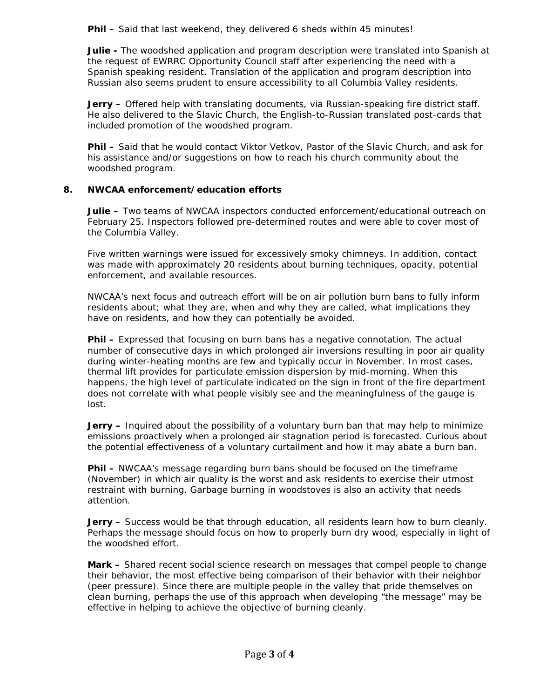Phil - Said that last weekend, they delivered 6 sheds within 45 minutes!

**Julie -** The woodshed application and program description were translated into Spanish at the request of EWRRC Opportunity Council staff after experiencing the need with a Spanish speaking resident. Translation of the application and program description into Russian also seems prudent to ensure accessibility to all Columbia Valley residents.

**Jerry –** Offered help with translating documents, via Russian-speaking fire district staff. He also delivered to the Slavic Church, the English-to-Russian translated post-cards that included promotion of the woodshed program.

**Phil –** Said that he would contact Viktor Vetkov, Pastor of the Slavic Church, and ask for his assistance and/or suggestions on how to reach his church community about the woodshed program.

### **8. NWCAA enforcement/education efforts**

**Julie –** Two teams of NWCAA inspectors conducted enforcement/educational outreach on February 25. Inspectors followed pre-determined routes and were able to cover most of the Columbia Valley.

Five written warnings were issued for excessively smoky chimneys. In addition, contact was made with approximately 20 residents about burning techniques, opacity, potential enforcement, and available resources.

NWCAA's next focus and outreach effort will be on air pollution burn bans to fully inform residents about; what they are, when and why they are called, what implications they have on residents, and how they can potentially be avoided.

**Phil –** Expressed that focusing on burn bans has a negative connotation. The actual number of consecutive days in which prolonged air inversions resulting in poor air quality during winter-heating months are few and typically occur in November. In most cases, thermal lift provides for particulate emission dispersion by mid-morning. When this happens, the high level of particulate indicated on the sign in front of the fire department does not correlate with what people visibly see and the meaningfulness of the gauge is lost.

**Jerry –** Inquired about the possibility of a voluntary burn ban that may help to minimize emissions proactively when a prolonged air stagnation period is forecasted. Curious about the potential effectiveness of a voluntary curtailment and how it may abate a burn ban.

**Phil –** NWCAA's message regarding burn bans should be focused on the timeframe (November) in which air quality is the worst and ask residents to exercise their utmost restraint with burning. Garbage burning in woodstoves is also an activity that needs attention.

**Jerry -** Success would be that through education, all residents learn how to burn cleanly. Perhaps the message should focus on how to properly burn dry wood, especially in light of the woodshed effort.

**Mark –** Shared recent social science research on messages that compel people to change their behavior, the most effective being comparison of their behavior with their neighbor (peer pressure). Since there are multiple people in the valley that pride themselves on clean burning, perhaps the use of this approach when developing "the message" may be effective in helping to achieve the objective of burning cleanly.